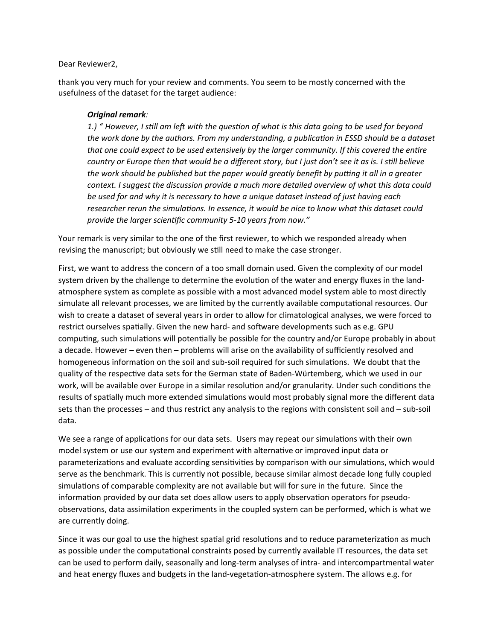## Dear Reviewer2,

thank you very much for your review and comments. You seem to be mostly concerned with the usefulness of the dataset for the target audience:

## *Original remark:*

*1.) " However, I still am left with the question of what is this data going to be used for beyond the work done by the authors. From my understanding, a publication in ESSD should be a dataset that one could expect to be used extensively by the larger community. If this covered the entire country or Europe then that would be a different story, but I just don't see it as is. I still believe the work should be published but the paper would greatly benefit by putting it all in a greater context. I suggest the discussion provide a much more detailed overview of what this data could be used for and why it is necessary to have a unique dataset instead of just having each researcher rerun the simulations. In essence, it would be nice to know what this dataset could provide the larger scientific community 5-10 years from now."*

Your remark is very similar to the one of the first reviewer, to which we responded already when revising the manuscript; but obviously we still need to make the case stronger.

First, we want to address the concern of a too small domain used. Given the complexity of our model system driven by the challenge to determine the evolution of the water and energy fluxes in the landatmosphere system as complete as possible with a most advanced model system able to most directly simulate all relevant processes, we are limited by the currently available computational resources. Our wish to create a dataset of several years in order to allow for climatological analyses, we were forced to restrict ourselves spatially. Given the new hard- and software developments such as e.g. GPU computing, such simulations will potentially be possible for the country and/or Europe probably in about a decade. However – even then – problems will arise on the availability of sufficiently resolved and homogeneous information on the soil and sub-soil required for such simulations. We doubt that the quality of the respective data sets for the German state of Baden-Würtemberg, which we used in our work, will be available over Europe in a similar resolution and/or granularity. Under such conditions the results of spatially much more extended simulations would most probably signal more the different data sets than the processes – and thus restrict any analysis to the regions with consistent soil and – sub-soil data.

We see a range of applications for our data sets. Users may repeat our simulations with their own model system or use our system and experiment with alternative or improved input data or parameterizations and evaluate according sensitivities by comparison with our simulations, which would serve as the benchmark. This is currently not possible, because similar almost decade long fully coupled simulations of comparable complexity are not available but will for sure in the future. Since the information provided by our data set does allow users to apply observation operators for pseudoobservations, data assimilation experiments in the coupled system can be performed, which is what we are currently doing.

Since it was our goal to use the highest spatial grid resolutions and to reduce parameterization as much as possible under the computational constraints posed by currently available IT resources, the data set can be used to perform daily, seasonally and long-term analyses of intra- and intercompartmental water and heat energy fluxes and budgets in the land-vegetation-atmosphere system. The allows e.g. for